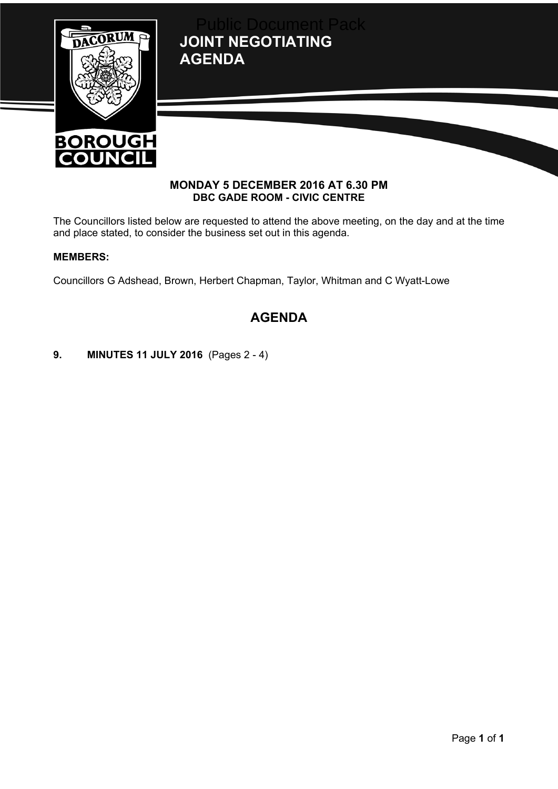**JOINT NEGOTIATING AGENDA** Public Document Pack



# **BOROUGH COUNCIL**

#### **MONDAY 5 DECEMBER 2016 AT 6.30 PM DBC GADE ROOM - CIVIC CENTRE**

The Councillors listed below are requested to attend the above meeting, on the day and at the time and place stated, to consider the business set out in this agenda.

### **MEMBERS:**

Councillors G Adshead, Brown, Herbert Chapman, Taylor, Whitman and C Wyatt-Lowe

## **AGENDA**

**9. MINUTES 11 JULY 2016** (Pages 2 - 4)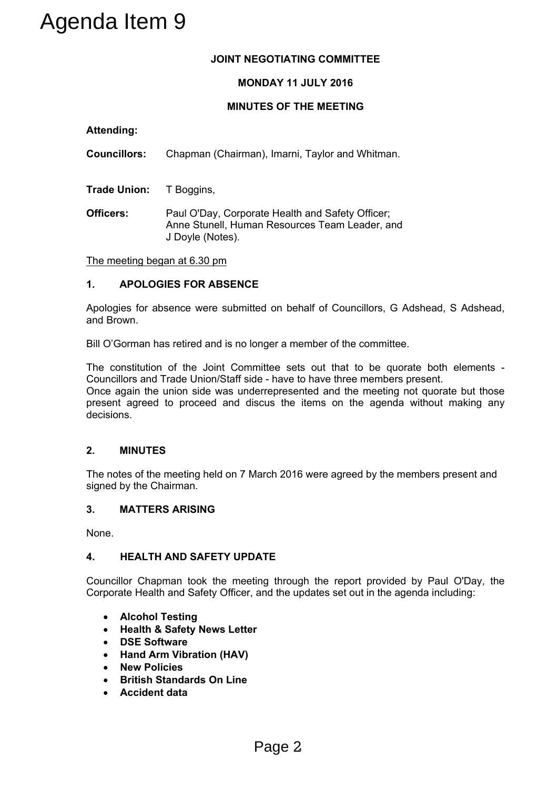### **JOINT NEGOTIATING COMMITTEE**

#### **MONDAY 11 JULY 2016**

#### **MINUTES OF THE MEETING**

**Attending:**

**Councillors:** Chapman (Chairman), Imarni, Taylor and Whitman.

**Trade Union:** T Boggins,

**Officers:** Paul O'Day, Corporate Health and Safety Officer; Anne Stunell, Human Resources Team Leader, and J Doyle (Notes).

The meeting began at 6.30 pm

#### **1. APOLOGIES FOR ABSENCE**

Apologies for absence were submitted on behalf of Councillors, G Adshead, S Adshead, and Brown.

Bill O'Gorman has retired and is no longer a member of the committee.

The constitution of the Joint Committee sets out that to be quorate both elements - Councillors and Trade Union/Staff side - have to have three members present. Once again the union side was underrepresented and the meeting not quorate but those present agreed to proceed and discus the items on the agenda without making any decisions. Solven The Magnetics Councillors: Chapman (Chairman), Imami,<br>
Trade Union: T Boggins,<br>
Officers: Paul OTDay, Coporate Health<br>
Altending: Trade Union: T Boggins,<br>
Officers: Paul OTDay, Coporate Health<br>
Anon Stunell, Human R

#### **2. MINUTES**

The notes of the meeting held on 7 March 2016 were agreed by the members present and signed by the Chairman.

#### **3. MATTERS ARISING**

None.

#### **4. HEALTH AND SAFETY UPDATE**

Councillor Chapman took the meeting through the report provided by Paul O'Day, the Corporate Health and Safety Officer, and the updates set out in the agenda including:

- **Alcohol Testing**
- **Health & Safety News Letter**
- **DSE Software**
- **Hand Arm Vibration (HAV)**
- **New Policies**
- **British Standards On Line**
- **Accident data**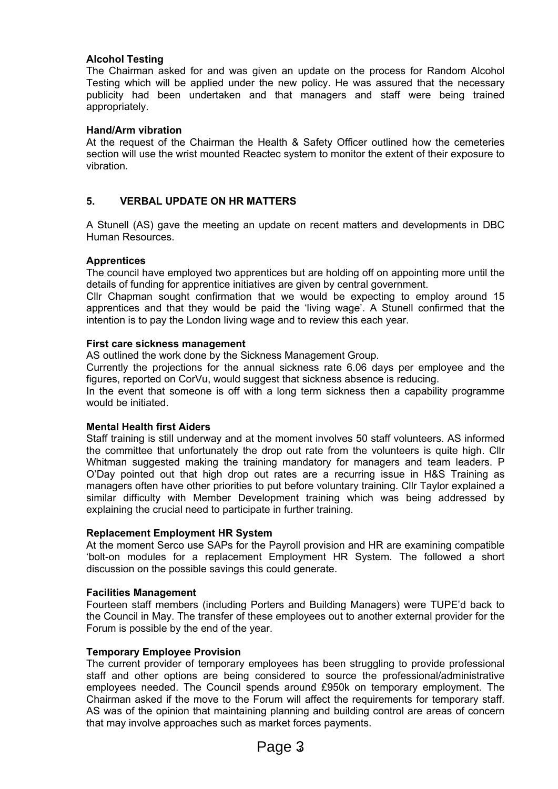#### **Alcohol Testing**

The Chairman asked for and was given an update on the process for Random Alcohol Testing which will be applied under the new policy. He was assured that the necessary publicity had been undertaken and that managers and staff were being trained appropriately.

#### **Hand/Arm vibration**

At the request of the Chairman the Health & Safety Officer outlined how the cemeteries section will use the wrist mounted Reactec system to monitor the extent of their exposure to vibration.

#### **5. VERBAL UPDATE ON HR MATTERS**

A Stunell (AS) gave the meeting an update on recent matters and developments in DBC Human Resources.

#### **Apprentices**

The council have employed two apprentices but are holding off on appointing more until the details of funding for apprentice initiatives are given by central government.

Cllr Chapman sought confirmation that we would be expecting to employ around 15 apprentices and that they would be paid the 'living wage'. A Stunell confirmed that the intention is to pay the London living wage and to review this each year.

#### **First care sickness management**

AS outlined the work done by the Sickness Management Group.

Currently the projections for the annual sickness rate 6.06 days per employee and the figures, reported on CorVu, would suggest that sickness absence is reducing.

In the event that someone is off with a long term sickness then a capability programme would be initiated.

#### **Mental Health first Aiders**

Staff training is still underway and at the moment involves 50 staff volunteers. AS informed the committee that unfortunately the drop out rate from the volunteers is quite high. Cllr Whitman suggested making the training mandatory for managers and team leaders. P O'Day pointed out that high drop out rates are a recurring issue in H&S Training as managers often have other priorities to put before voluntary training. Cllr Taylor explained a similar difficulty with Member Development training which was being addressed by explaining the crucial need to participate in further training.

#### **Replacement Employment HR System**

At the moment Serco use SAPs for the Payroll provision and HR are examining compatible 'bolt-on modules for a replacement Employment HR System. The followed a short discussion on the possible savings this could generate.

#### **Facilities Management**

Fourteen staff members (including Porters and Building Managers) were TUPE'd back to the Council in May. The transfer of these employees out to another external provider for the Forum is possible by the end of the year.

#### **Temporary Employee Provision**

The current provider of temporary employees has been struggling to provide professional staff and other options are being considered to source the professional/administrative employees needed. The Council spends around £950k on temporary employment. The Chairman asked if the move to the Forum will affect the requirements for temporary staff. AS was of the opinion that maintaining planning and building control are areas of concern that may involve approaches such as market forces payments.